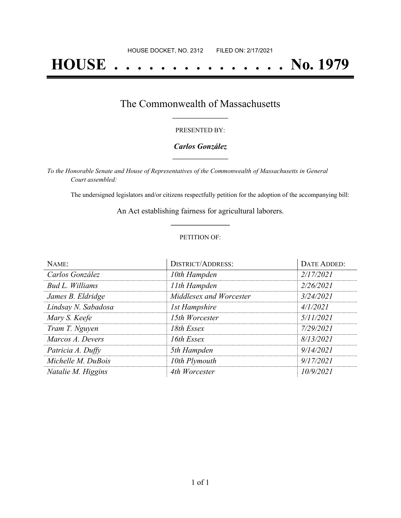# **HOUSE . . . . . . . . . . . . . . . No. 1979**

### The Commonwealth of Massachusetts **\_\_\_\_\_\_\_\_\_\_\_\_\_\_\_\_\_**

#### PRESENTED BY:

#### *Carlos González* **\_\_\_\_\_\_\_\_\_\_\_\_\_\_\_\_\_**

*To the Honorable Senate and House of Representatives of the Commonwealth of Massachusetts in General Court assembled:*

The undersigned legislators and/or citizens respectfully petition for the adoption of the accompanying bill:

An Act establishing fairness for agricultural laborers. **\_\_\_\_\_\_\_\_\_\_\_\_\_\_\_**

#### PETITION OF:

| NAME:               | <b>DISTRICT/ADDRESS:</b> | DATE ADDED: |
|---------------------|--------------------------|-------------|
| Carlos González     | 10th Hampden             | 2/17/2021   |
| Bud L. Williams     | 11th Hampden             | 2/26/2021   |
| James B. Eldridge   | Middlesex and Worcester  | 3/24/2021   |
| Lindsay N. Sabadosa | <b>1st Hampshire</b>     | 4/1/2021    |
| Mary S. Keefe       | 15th Worcester           | 5/11/2021   |
| Tram T. Nguyen      | 18th Essex               | 7/29/2021   |
| Marcos A. Devers    | 16th Essex               | 8/13/2021   |
| Patricia A. Duffy   | 5th Hampden              | 9/14/2021   |
| Michelle M. DuBois  | 10th Plymouth            | 9/17/2021   |
| Natalie M. Higgins  | 4th Worcester            | 10/9/2021   |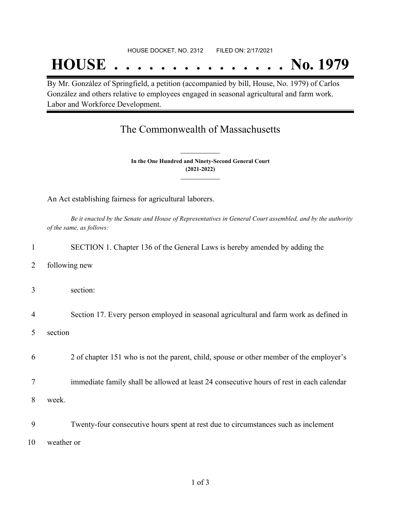## **HOUSE . . . . . . . . . . . . . . . No. 1979**

By Mr. González of Springfield, a petition (accompanied by bill, House, No. 1979) of Carlos González and others relative to employees engaged in seasonal agricultural and farm work. Labor and Workforce Development.

## The Commonwealth of Massachusetts

**In the One Hundred and Ninety-Second General Court (2021-2022) \_\_\_\_\_\_\_\_\_\_\_\_\_\_\_**

**\_\_\_\_\_\_\_\_\_\_\_\_\_\_\_**

An Act establishing fairness for agricultural laborers.

Be it enacted by the Senate and House of Representatives in General Court assembled, and by the authority *of the same, as follows:*

|                | SECTION 1. Chapter 136 of the General Laws is hereby amended by adding the               |
|----------------|------------------------------------------------------------------------------------------|
| 2              | following new                                                                            |
| 3              | section:                                                                                 |
| $\overline{4}$ | Section 17. Every person employed in seasonal agricultural and farm work as defined in   |
| 5              | section                                                                                  |
| 6              | 2 of chapter 151 who is not the parent, child, spouse or other member of the employer's  |
| 7              | immediate family shall be allowed at least 24 consecutive hours of rest in each calendar |
| 8              | week.                                                                                    |
| 9              | Twenty-four consecutive hours spent at rest due to circumstances such as inclement       |
| 10             | weather or                                                                               |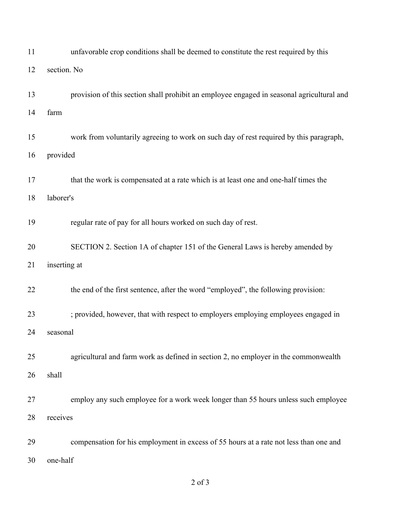| 11 | unfavorable crop conditions shall be deemed to constitute the rest required by this       |  |  |
|----|-------------------------------------------------------------------------------------------|--|--|
| 12 | section. No                                                                               |  |  |
| 13 | provision of this section shall prohibit an employee engaged in seasonal agricultural and |  |  |
| 14 | farm                                                                                      |  |  |
| 15 | work from voluntarily agreeing to work on such day of rest required by this paragraph,    |  |  |
| 16 | provided                                                                                  |  |  |
| 17 | that the work is compensated at a rate which is at least one and one-half times the       |  |  |
| 18 | laborer's                                                                                 |  |  |
| 19 | regular rate of pay for all hours worked on such day of rest.                             |  |  |
| 20 | SECTION 2. Section 1A of chapter 151 of the General Laws is hereby amended by             |  |  |
| 21 | inserting at                                                                              |  |  |
| 22 | the end of the first sentence, after the word "employed", the following provision:        |  |  |
| 23 | ; provided, however, that with respect to employers employing employees engaged in        |  |  |
| 24 | seasonal                                                                                  |  |  |
| 25 | agricultural and farm work as defined in section 2, no employer in the commonwealth       |  |  |
| 26 | shall                                                                                     |  |  |
| 27 | employ any such employee for a work week longer than 55 hours unless such employee        |  |  |
| 28 | receives                                                                                  |  |  |
| 29 | compensation for his employment in excess of 55 hours at a rate not less than one and     |  |  |
| 30 | one-half                                                                                  |  |  |

of 3